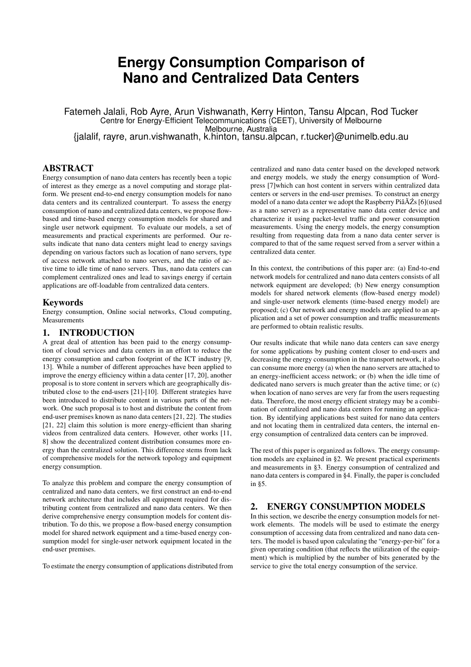# **Energy Consumption Comparison of Nano and Centralized Data Centers**

Fatemeh Jalali, Rob Ayre, Arun Vishwanath, Kerry Hinton, Tansu Alpcan, Rod Tucker Centre for Energy-Efficient Telecommunications (CEET), University of Melbourne Melbourne, Australia

{jalalif, rayre, arun.vishwanath, k.hinton, tansu.alpcan, r.tucker}@unimelb.edu.au

## ABSTRACT

Energy consumption of nano data centers has recently been a topic of interest as they emerge as a novel computing and storage platform. We present end-to-end energy consumption models for nano data centers and its centralized counterpart. To assess the energy consumption of nano and centralized data centers, we propose flowbased and time-based energy consumption models for shared and single user network equipment. To evaluate our models, a set of measurements and practical experiments are performed. Our results indicate that nano data centers might lead to energy savings depending on various factors such as location of nano servers, type of access network attached to nano servers, and the ratio of active time to idle time of nano servers. Thus, nano data centers can complement centralized ones and lead to savings energy if certain applications are off-loadable from centralized data centers.

### Keywords

Energy consumption, Online social networks, Cloud computing, Measurements

## 1. INTRODUCTION

A great deal of attention has been paid to the energy consumption of cloud services and data centers in an effort to reduce the energy consumption and carbon footprint of the ICT industry [9, 13]. While a number of different approaches have been applied to improve the energy efficiency within a data center [17, 20], another proposal is to store content in servers which are geographically distributed close to the end-users [21]-[10]. Different strategies have been introduced to distribute content in various parts of the network. One such proposal is to host and distribute the content from end-user premises known as nano data centers [21, 22]. The studies [21, 22] claim this solution is more energy-efficient than sharing videos from centralized data centers. However, other works [11, 8] show the decentralized content distribution consumes more energy than the centralized solution. This difference stems from lack of comprehensive models for the network topology and equipment energy consumption.

To analyze this problem and compare the energy consumption of centralized and nano data centers, we first construct an end-to-end network architecture that includes all equipment required for distributing content from centralized and nano data centers. We then derive comprehensive energy consumption models for content distribution. To do this, we propose a flow-based energy consumption model for shared network equipment and a time-based energy consumption model for single-user network equipment located in the end-user premises.

To estimate the energy consumption of applications distributed from

centralized and nano data center based on the developed network and energy models, we study the energy consumption of Wordpress [7]which can host content in servers within centralized data centers or servers in the end-user premises. To construct an energy model of a nano data center we adopt the Raspberry Piâ $\check{A}Zs$  [6] (used as a nano server) as a representative nano data center device and characterize it using packet-level traffic and power consumption measurements. Using the energy models, the energy consumption resulting from requesting data from a nano data center server is compared to that of the same request served from a server within a centralized data center.

In this context, the contributions of this paper are: (a) End-to-end network models for centralized and nano data centers consists of all network equipment are developed; (b) New energy consumption models for shared network elements (flow-based energy model) and single-user network elements (time-based energy model) are proposed; (c) Our network and energy models are applied to an application and a set of power consumption and traffic measurements are performed to obtain realistic results.

Our results indicate that while nano data centers can save energy for some applications by pushing content closer to end-users and decreasing the energy consumption in the transport network, it also can consume more energy (a) when the nano servers are attached to an energy-inefficient access network; or (b) when the idle time of dedicated nano servers is much greater than the active time; or (c) when location of nano serves are very far from the users requesting data. Therefore, the most energy efficient strategy may be a combination of centralized and nano data centers for running an application. By identifying applications best suited for nano data centers and not locating them in centralized data centers, the internal energy consumption of centralized data centers can be improved.

The rest of this paper is organized as follows. The energy consumption models are explained in §2. We present practical experiments and measurements in §3. Energy consumption of centralized and nano data centers is compared in §4. Finally, the paper is concluded in §5.

## 2. ENERGY CONSUMPTION MODELS

In this section, we describe the energy consumption models for network elements. The models will be used to estimate the energy consumption of accessing data from centralized and nano data centers. The model is based upon calculating the "energy-per-bit" for a given operating condition (that reflects the utilization of the equipment) which is multiplied by the number of bits generated by the service to give the total energy consumption of the service.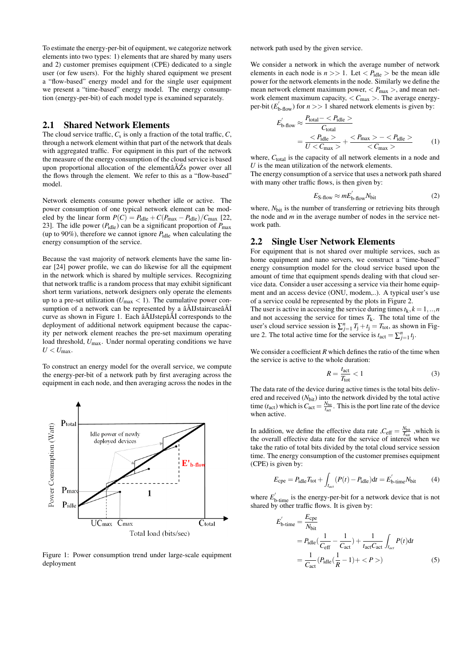To estimate the energy-per-bit of equipment, we categorize network elements into two types: 1) elements that are shared by many users and 2) customer premises equipment (CPE) dedicated to a single user (or few users). For the highly shared equipment we present a "flow-based" energy model and for the single user equipment we present a "time-based" energy model. The energy consumption (energy-per-bit) of each model type is examined separately.

### 2.1 Shared Network Elements

The cloud service traffic,  $C_s$  is only a fraction of the total traffic,  $C_s$ , through a network element within that part of the network that deals with aggregated traffic. For equipment in this part of the network the measure of the energy consumption of the cloud service is based upon proportional allocation of the element $\hat{A}Z$ s power over all the flows through the element. We refer to this as a "flow-based" model.

Network elements consume power whether idle or active. The power consumption of one typical network element can be modeled by the linear form  $P(C) = P_{\text{idle}} + C(P_{\text{max}} - P_{\text{idle}})/C_{\text{max}}$  [22, 23]. The idle power  $(P_{\text{idle}})$  can be a significant proportion of  $P_{\text{max}}$ (up to 90%), therefore we cannot ignore *P*idle when calculating the energy consumption of the service.

Because the vast majority of network elements have the same linear [24] power profile, we can do likewise for all the equipment in the network which is shared by multiple services. Recognizing that network traffic is a random process that may exhibit significant short term variations, network designers only operate the elements up to a pre-set utilization ( $U_{\text{max}} < 1$ ). The cumulative power consumption of a network can be represented by a  $\tilde{a}$ AIJstaircase $\tilde{a}$ AI curve as shown in Figure 1. Each âAIJstepâ AI corresponds to the deployment of additional network equipment because the capacity per network element reaches the pre-set maximum operating load threshold,  $U_{\text{max}}$ . Under normal operating conditions we have  $U < U_{\text{max}}$ .

To construct an energy model for the overall service, we compute the energy-per-bit of a network path by first averaging across the equipment in each node, and then averaging across the nodes in the



Figure 1: Power consumption trend under large-scale equipment deployment

network path used by the given service.

We consider a network in which the average number of network elements in each node is  $n \gg 1$ . Let  $\langle P_{\text{idle}} \rangle$  be the mean idle power for the network elements in the node. Similarly we define the mean network element maximum power,  $\langle P_{\text{max}} \rangle$ , and mean network element maximum capacity,  $\langle C_{\text{max}} \rangle$ . The average energyper-bit  $(E'_{\text{b-flow}})$  for  $n >> 1$  shared network elements is given by:

$$
E'_{\text{b-flow}} \approx \frac{P_{\text{total}} - }{C_{\text{total}}}
$$
  
= 
$$
\frac{}{U < C_{\text{max}}} + \frac{ - }{< C_{\text{max}}>}
$$
 (1)

where, C<sub>total</sub> is the capacity of all network elements in a node and *U* is the mean utilization of the network elements.

The energy consumption of a service that uses a network path shared with many other traffic flows, is then given by:

$$
E_{\text{S-flow}} \approx mE'_{\text{b-flow}} N_{\text{bit}} \tag{2}
$$

where,  $N<sub>bit</sub>$  is the number of transferring or retrieving bits through the node and *m* in the average number of nodes in the service network path.

## 2.2 Single User Network Elements

For equipment that is not shared over multiple services, such as home equipment and nano servers, we construct a "time-based" energy consumption model for the cloud service based upon the amount of time that equipment spends dealing with that cloud service data. Consider a user accessing a service via their home equipment and an access device (ONU, modem,..). A typical user's use of a service could be represented by the plots in Figure 2.

The user is active in accessing the service during times  $t_k$ ,  $k = 1, ..., n$ and not accessing the service for times  $T_k$ . The total time of the user's cloud service session is  $\sum_{j=1}^{n} T_j + t_j = T_{\text{tot}}$ , as shown in Figure 2. The total active time for the service is  $t_{\text{act}} = \sum_{j=1}^{n} t_j$ .

We consider a coefficient *R* which defines the ratio of the time when the service is active to the whole duration:

$$
R = \frac{t_{\text{act}}}{T_{\text{tot}}} < 1\tag{3}
$$

The data rate of the device during active times is the total bits delivered and received ( $N<sub>bit</sub>$ ) into the network divided by the total active time ( $t_{\text{act}}$ ) which is  $C_{\text{act}} = \frac{N_{\text{bit}}}{t_{\text{act}}}$ . This is the port line rate of the device when active.

In addition, we define the effective data rate  $C_{\text{eff}} = \frac{N_{\text{bit}}}{T_{\text{tot}}}$ , which is the overall effective data rate for the service of interest when we take the ratio of total bits divided by the total cloud service session time. The energy consumption of the customer premises equipment (CPE) is given by:

$$
E_{\rm cpe} = P_{\rm idle} T_{\rm tot} + \int_{t_{\rm act}} (P(t) - P_{\rm idle}) dt = E'_{\rm b-time} N_{\rm bit} \tag{4}
$$

where  $E_{\text{b-time}}^{'}$  is the energy-per-bit for a network device that is not shared by other traffic flows. It is given by:

$$
E'_{\text{b-time}} = \frac{E_{\text{cpe}}}{N_{\text{bit}}}
$$
  
=  $P_{\text{idle}} \left( \frac{1}{C_{\text{eff}}} - \frac{1}{C_{\text{act}}} \right) + \frac{1}{t_{\text{act}} C_{\text{act}}} \int_{t_{\text{act}}} P(t) dt$   
=  $\frac{1}{C_{\text{act}}} (P_{\text{idle}} \left( \frac{1}{R} - 1 \right) + )$  (5)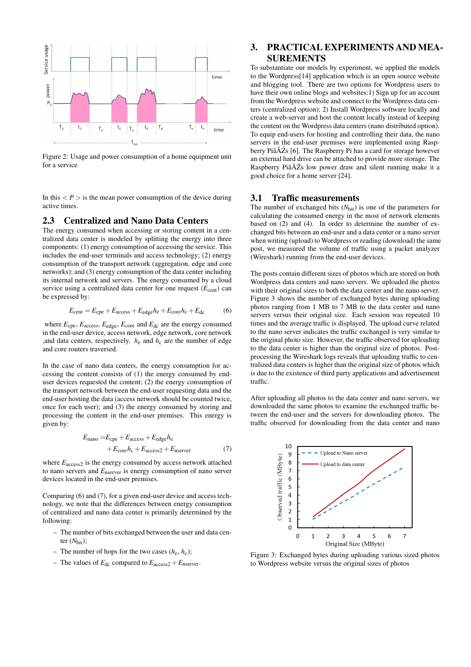

Figure 2: Usage and power consumption of a home equipment unit for a service

In this  $\langle P \rangle$  is the mean power consumption of the device during active times.

## 2.3 Centralized and Nano Data Centers

The energy consumed when accessing or storing content in a centralized data center is modeled by splitting the energy into three components: (1) energy consumption of accessing the service. This includes the end-user terminals and access technology; (2) energy consumption of the transport network (aggregation, edge and core networks); and (3) energy consumption of the data center including its internal network and servers. The energy consumed by a cloud service using a centralized data center for one request  $(E_{\text{cent}})$  can be expressed by:

$$
E_{\text{cent}} = E_{\text{cpe}} + E_{\text{access}} + E_{\text{edge}}h_{\text{e}} + E_{\text{core}}h_{\text{c}} + E_{\text{dc}} \tag{6}
$$

where  $E_{\text{cpe}}$ ,  $E_{\text{access}}$ ,  $E_{\text{edge}}$ ,  $E_{\text{core}}$  and  $E_{\text{dc}}$  are the energy consumed in the end-user device, access network, edge network, core network ,and data centers, respectively.  $h_e$  and  $h_c$  are the number of edge and core routers traversed.

In the case of nano data centers, the energy consumption for accessing the content consists of (1) the energy consumed by enduser devices requested the content; (2) the energy consumption of the transport network between the end-user requesting data and the end-user hosting the data (access network should be counted twice, once for each user); and (3) the energy consumed by storing and processing the content in the end-user premises. This energy is given by:

$$
E_{\text{nano}} = E_{\text{cpe}} + E_{\text{access}} + E_{\text{edge}} h_{\text{e}}
$$

$$
+ E_{\text{core}} h_{\text{c}} + E_{\text{access2}} + E_{\text{nserver}} \tag{7}
$$

where  $E_{\text{access2}}$  is the energy consumed by access network attached to nano servers and *E*nserver is energy consumption of nano server devices located in the end-user premises.

Comparing (6) and (7), for a given end-user device and access technology, we note that the differences between energy consumption of centralized and nano data center is primarily determined by the following:

- The number of bits exchanged between the user and data center  $(N<sub>bit</sub>)$ ;
- The number of hops for the two cases  $(h_e, h_c)$ ;
- The values of  $E_{dc}$  compared to  $E_{access2} + E_{nserver}$ .

# 3. PRACTICAL EXPERIMENTS AND MEA-SUREMENTS

To substantiate our models by experiment, we applied the models to the Wordpress[14] application which is an open source website and blogging tool. There are two options for Wordpress users to have their own online blogs and websites:1) Sign up for an account from the Wordpress website and connect to the Wordpress data centers (centralized option); 2) Install Wordpress software locally and create a web-server and host the content locally instead of keeping the content on the Wordpress data centers (nano distributed option). To equip end-users for hosting and controlling their data, the nano servers in the end-user premises were implemented using Raspberry PiâĂŹs [6]. The Raspberry Pi has a card for storage however an external hard drive can be attached to provide more storage. The Raspberry PiâĂŹs low power draw and silent running make it a good choice for a home server [24].

#### 3.1 Traffic measurements

The number of exchanged bits  $(N<sub>bit</sub>)$  is one of the parameters for calculating the consumed energy in the most of network elements based on (2) and (4). In order to determine the number of exchanged bits between an end-user and a data center or a nano server when writing (upload) to Wordpress or reading (download) the same post, we measured the volume of traffic using a packet analyzer (Wireshark) running from the end-user devices.

The posts contain different sizes of photos which are stored on both Wordpress data centers and nano servers. We uploaded the photos with their original sizes to both the data center and the nano server. Figure 3 shows the number of exchanged bytes during uploading photos ranging from 1 MB to 7 MB to the data center and nano servers versus their original size. Each session was repeated 10 times and the average traffic is displayed. The upload curve related to the nano server indicates the traffic exchanged is very similar to the original photo size. However, the traffic observed for uploading to the data center is higher than the original size of photos. Postprocessing the Wireshark logs reveals that uploading traffic to centralized data centers is higher than the original size of photos which is due to the existence of third party applications and advertisement traffic.

After uploading all photos to the data center and nano servers, we downloaded the same photos to examine the exchanged traffic between the end-user and the servers for downloading photos. The traffic observed for downloading from the data center and nano



Figure 3: Exchanged bytes during uploading various sized photos to Wordpress website versus the original sizes of photos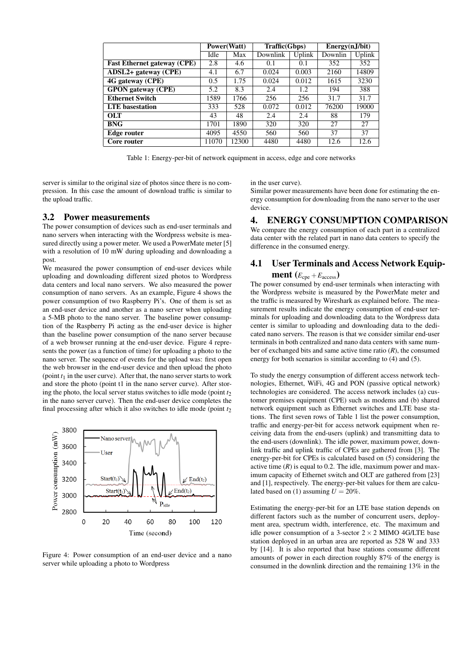|                                    | Power(Watt) |       | Traffic(Gbps) |        | Energy(nJ/bit) |        |
|------------------------------------|-------------|-------|---------------|--------|----------------|--------|
|                                    | Idle        | Max   | Downlink      | Uplink | Downlin        | Uplink |
| <b>Fast Ethernet gateway (CPE)</b> | 2.8         | 4.6   | 0.1           | 0.1    | 352            | 352    |
| $ADSL2+$ gateway (CPE)             | 4.1         | 6.7   | 0.024         | 0.003  | 2160           | 14809  |
| 4G gateway (CPE)                   | 0.5         | 1.75  | 0.024         | 0.012  | 1615           | 3230   |
| <b>GPON</b> gateway (CPE)          | 5.2         | 8.3   | 2.4           | 1.2    | 194            | 388    |
| <b>Ethernet Switch</b>             | 1589        | 1766  | 256           | 256    | 31.7           | 31.7   |
| <b>LTE</b> basestation             | 333         | 528   | 0.072         | 0.012  | 76200          | 19000  |
| <b>OLT</b>                         | 43          | 48    | 2.4           | 2.4    | 88             | 179    |
| <b>BNG</b>                         | 1701        | 1890  | 320           | 320    | 27             | 27     |
| Edge router                        | 4095        | 4550  | 560           | 560    | 37             | 37     |
| Core router                        | 11070       | 12300 | 4480          | 4480   | 12.6           | 12.6   |

Table 1: Energy-per-bit of network equipment in access, edge and core networks

server is similar to the original size of photos since there is no compression. In this case the amount of download traffic is similar to the upload traffic.

#### 3.2 Power measurements

The power consumption of devices such as end-user terminals and nano servers when interacting with the Wordpress website is measured directly using a power meter. We used a PowerMate meter [5] with a resolution of 10 mW during uploading and downloading a post.

We measured the power consumption of end-user devices while uploading and downloading different sized photos to Wordpress data centers and local nano servers. We also measured the power consumption of nano servers. As an example, Figure 4 shows the power consumption of two Raspberry Pi's. One of them is set as an end-user device and another as a nano server when uploading a 5-MB photo to the nano server. The baseline power consumption of the Raspberry Pi acting as the end-user device is higher than the baseline power consumption of the nano server because of a web browser running at the end-user device. Figure 4 represents the power (as a function of time) for uploading a photo to the nano server. The sequence of events for the upload was: first open the web browser in the end-user device and then upload the photo (point  $t_1$  in the user curve). After that, the nano server starts to work and store the photo (point t1 in the nano server curve). After storing the photo, the local server status switches to idle mode (point  $t_2$ ) in the nano server curve). Then the end-user device completes the final processing after which it also switches to idle mode (point  $t<sub>2</sub>$ )



Figure 4: Power consumption of an end-user device and a nano server while uploading a photo to Wordpress

in the user curve).

Similar power measurements have been done for estimating the energy consumption for downloading from the nano server to the user device.

## 4. ENERGY CONSUMPTION COMPARISON

We compare the energy consumption of each part in a centralized data center with the related part in nano data centers to specify the difference in the consumed energy.

## 4.1 User Terminals and Access Network Equip**ment**  $(E_{\text{cpe}} + E_{\text{access}})$

The power consumed by end-user terminals when interacting with the Wordpress website is measured by the PowerMate meter and the traffic is measured by Wireshark as explained before. The measurement results indicate the energy consumption of end-user terminals for uploading and downloading data to the Wordpress data center is similar to uploading and downloading data to the dedicated nano servers. The reason is that we consider similar end-user terminals in both centralized and nano data centers with same number of exchanged bits and same active time ratio  $(R)$ , the consumed energy for both scenarios is similar according to (4) and (5).

To study the energy consumption of different access network technologies, Ethernet, WiFi, 4G and PON (passive optical network) technologies are considered. The access network includes (a) customer premises equipment (CPE) such as modems and (b) shared network equipment such as Ethernet switches and LTE base stations. The first seven rows of Table 1 list the power consumption, traffic and energy-per-bit for access network equipment when receiving data from the end-users (uplink) and transmitting data to the end-users (downlink). The idle power, maximum power, downlink traffic and uplink traffic of CPEs are gathered from [3]. The energy-per-bit for CPEs is calculated based on (5) considering the active time  $(R)$  is equal to 0.2. The idle, maximum power and maximum capacity of Ethernet switch and OLT are gathered from [23] and [1], respectively. The energy-per-bit values for them are calculated based on (1) assuming  $U = 20\%$ .

Estimating the energy-per-bit for an LTE base station depends on different factors such as the number of concurrent users, deployment area, spectrum width, interference, etc. The maximum and idle power consumption of a 3-sector  $2 \times 2$  MIMO 4G/LTE base station deployed in an urban area are reported as 528 W and 333 by [14]. It is also reported that base stations consume different amounts of power in each direction roughly 87% of the energy is consumed in the downlink direction and the remaining 13% in the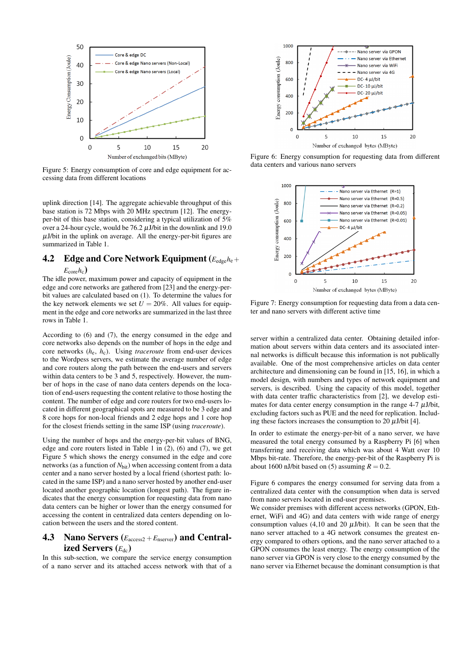

Figure 5: Energy consumption of core and edge equipment for accessing data from different locations

uplink direction [14]. The aggregate achievable throughput of this base station is 72 Mbps with 20 MHz spectrum [12]. The energyper-bit of this base station, considering a typical utilization of 5% over a 24-hour cycle, would be  $76.2 \mu$ J/bit in the downlink and 19.0  $\mu$ J/bit in the uplink on average. All the energy-per-bit figures are summarized in Table 1.

# 4.2 Edge and Core Network Equipment (*E*edge*h*e+

#### $E_{\rm core}h_{\rm c}$

The idle power, maximum power and capacity of equipment in the edge and core networks are gathered from [23] and the energy-perbit values are calculated based on (1). To determine the values for the key network elements we set  $U = 20\%$ . All values for equipment in the edge and core networks are summarized in the last three rows in Table 1.

According to (6) and (7), the energy consumed in the edge and core networks also depends on the number of hops in the edge and core networks (*h*e, *h*c). Using *traceroute* from end-user devices to the Wordpess servers, we estimate the average number of edge and core routers along the path between the end-users and servers within data centers to be 3 and 5, respectively. However, the number of hops in the case of nano data centers depends on the location of end-users requesting the content relative to those hosting the content. The number of edge and core routers for two end-users located in different geographical spots are measured to be 3 edge and 8 core hops for non-local friends and 2 edge hops and 1 core hop for the closest friends setting in the same ISP (using *traceroute*).

Using the number of hops and the energy-per-bit values of BNG, edge and core routers listed in Table 1 in (2), (6) and (7), we get Figure 5 which shows the energy consumed in the edge and core networks (as a function of *N*<sub>bit</sub>) when accessing content from a data center and a nano server hosted by a local friend (shortest path: located in the same ISP) and a nano server hosted by another end-user located another geographic location (longest path). The figure indicates that the energy consumption for requesting data from nano data centers can be higher or lower than the energy consumed for accessing the content in centralized data centers depending on location between the users and the stored content.

## 4.3 Nano Servers ( $E_{\text{access2}}+E_{\text{nserver}}$ ) and Centralized Servers ( $E_{dc}$ )

In this sub-section, we compare the service energy consumption of a nano server and its attached access network with that of a



Figure 6: Energy consumption for requesting data from different data centers and various nano servers



Figure 7: Energy consumption for requesting data from a data center and nano servers with different active time

server within a centralized data center. Obtaining detailed information about servers within data centers and its associated internal networks is difficult because this information is not publically available. One of the most comprehensive articles on data center architecture and dimensioning can be found in [15, 16], in which a model design, with numbers and types of network equipment and servers, is described. Using the capacity of this model, together with data center traffic characteristics from [2], we develop estimates for data center energy consumption in the range 4-7  $\mu$ J/bit, excluding factors such as PUE and the need for replication. Including these factors increases the consumption to 20  $\mu$ J/bit [4].

In order to estimate the energy-per-bit of a nano server, we have measured the total energy consumed by a Raspberry Pi [6] when transferring and receiving data which was about 4 Watt over 10 Mbps bit-rate. Therefore, the energy-per-bit of the Raspberry Pi is about 1600 nJ/bit based on (5) assuming  $R = 0.2$ .

Figure 6 compares the energy consumed for serving data from a centralized data center with the consumption when data is served from nano servers located in end-user premises.

We consider premises with different access networks (GPON, Ethernet, WiFi and 4G) and data centers with wide range of energy consumption values (4,10 and 20  $\mu$ J/bit). It can be seen that the nano server attached to a 4G network consumes the greatest energy compared to others options, and the nano server attached to a GPON consumes the least energy. The energy consumption of the nano server via GPON is very close to the energy consumed by the nano server via Ethernet because the dominant consumption is that